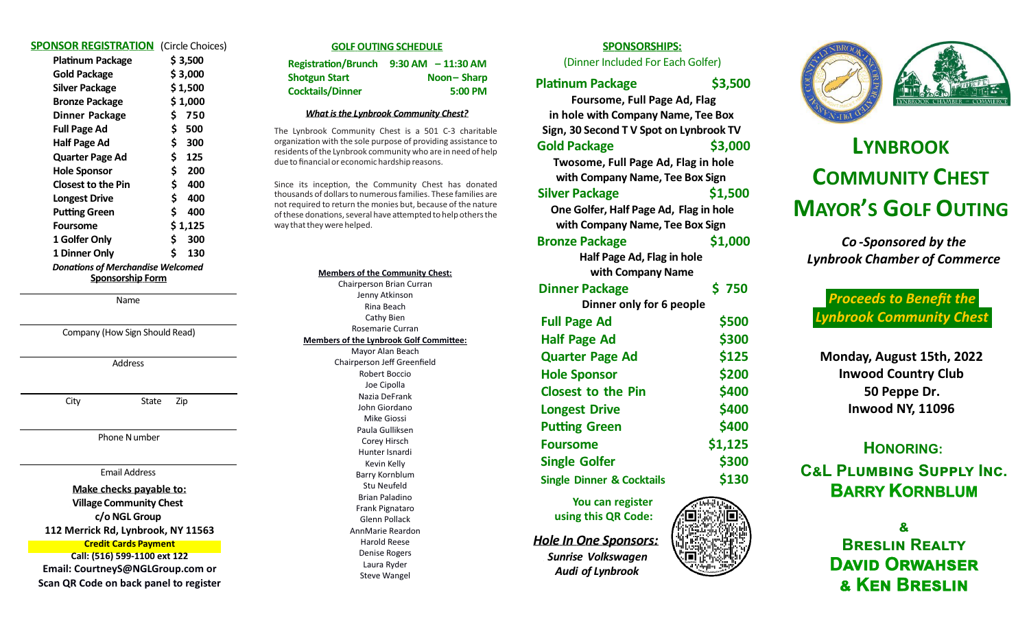#### **SPONSOR REGISTRATION** (Circle Choices)

| Platinum Package                                             | \$3,500   |  |
|--------------------------------------------------------------|-----------|--|
| Gold Package                                                 | \$3,000   |  |
| <b>Silver Package</b>                                        | \$1,500   |  |
| <b>Bronze Package</b>                                        | \$ 1,000  |  |
| <b>Dinner Package</b>                                        | \$<br>750 |  |
| <b>Full Page Ad</b>                                          | \$<br>500 |  |
| Half Page Ad                                                 | \$300     |  |
| <b>Quarter Page Ad</b>                                       | \$<br>125 |  |
| <b>Hole Sponsor</b>                                          | \$<br>200 |  |
| <b>Closest to the Pin</b>                                    | \$<br>400 |  |
| Longest Drive                                                | \$<br>400 |  |
| <b>Putting Green</b>                                         | \$<br>400 |  |
| Foursome                                                     | \$1,125   |  |
| 1 Golfer Only                                                | \$<br>300 |  |
| <b>1 Dinner Only</b>                                         | \$<br>130 |  |
| <b>Donations of Merchandise Welcomed</b><br>Sponsorship Form |           |  |
|                                                              |           |  |

Name

Company (How Sign Should Read)

Address

City State Zip

Phone Number

#### Email Address

**Make checks payable to: VillageCommunity Chest c/o NGL Group 112 Merrick Rd, Lynbrook, NY 11563 Credit Cards Payment Call: (516) 599-1100 ext 122 Email: CourtneyS@NGLGroup.com or**

**Scan QR Code on back panel to register**

#### **GOLFOUTING SCHEDULE**

 $Reg$ **istration/Brunch** 9:30 AM  $-11:30$  AM **Shotgun Start Noon– Sharp Cocktails/Dinner 5:00 PM**

#### *What isthe Lynbrook Community Chest?*

The Lynbrook Community Chest is a 501 C-3 charitable organization with the sole purpose of providing assistance to residents of the Lynbrook community who are in need of help due to financial or economic hardship reasons.

Since its inception, the Community Chest has donated thousands of dollars to numerous families. These families are not required to return the monies but, because of the nature of these donations, several have attempted to help others the way that they were helped.

## **Members of the Community Chest:** Chairperson Brian Curran

Jenny Atkinson Rina Beach Cathy Bien Rosemarie Curran **Members of the Lynbrook Golf Committee:** Mayor Alan Beach Chairperson Jeff Greenfield Robert Boccio Joe Cipolla Nazia DeFrank John Giordano Mike Giossi Paula Gulliksen Corey Hirsch Hunter Isnardi Kevin Kelly Barry Kornblum Stu Neufeld Brian Paladino Frank Pignataro Glenn Pollack AnnMarie Reardon Harold Reese Denise Rogers Laura Ryder Steve Wangel

## **SPONSORSHIPS:**

## (Dinner Included For Each Golfer)

## **Platinum Package**  $\left\{ \text{53,500} \right\}$ **Foursome, Full Page Ad, Flag in hole with Company Name, Tee Box Sign, 30 Second T V Spot on Lynbrook TV Gold Package 53,000 Twosome, Full Page Ad, Flag in hole with Company Name, Tee Box Sign Silver Package 51,500 One Golfer, Half Page Ad, Flag in hole with Company Name, Tee Box Sign Bronze Package \$1,000 Half Page Ad, Flag in hole with Company Name Dinner Package 5 750 Dinner only for 6 people Full Page Ad \$500 Half Page Ad \$300 Quarter Page Ad \$125 Hole Sponsor \$200 Closest to the Pin \$400 Longest Drive \$400 Putting Green \$400 Foursome \$1,125 Single Golfer \$300 Single Dinner & Cocktails \$130**

**You can register using this QR Code:** 

*Hole In One Sponsors: Sunrise Volkswagen Audi of Lynbrook*



# **LYNBROOK COMMUNITY CHEST MAYOR'S GOLF OUTING**

*Co -Sponsored by the Lynbrook Chamber of Commerce*

# *Proceeds to Benefit the Lynbrook Community Chest*

**Monday, August 15th, 2022 Inwood Country Club 50 Peppe Dr. Inwood NY, 11096**

# **HONORING: C&L PLUMBING SUPPLY INC. BARRY KORNBLUM**